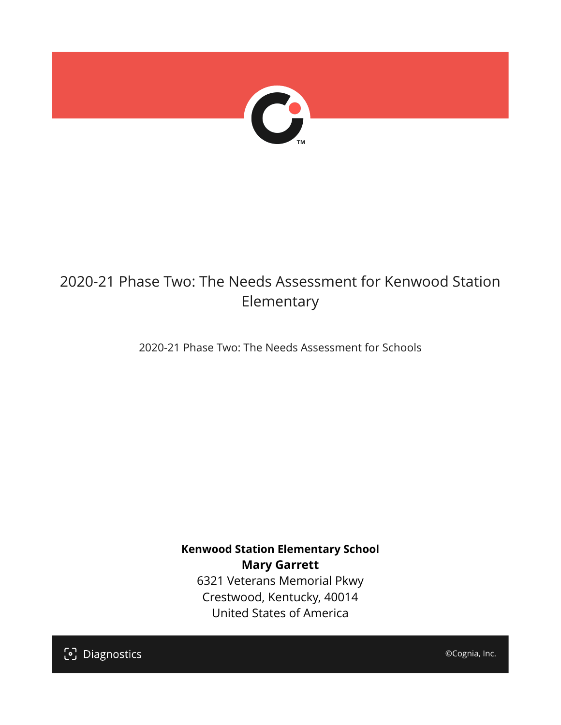

# 2020-21 Phase Two: The Needs Assessment for Kenwood Station Elementary

2020-21 Phase Two: The Needs Assessment for Schools

**Kenwood Station Elementary School Mary Garrett** 6321 Veterans Memorial Pkwy Crestwood, Kentucky, 40014 United States of America

[၁] Diagnostics

©Cognia, Inc.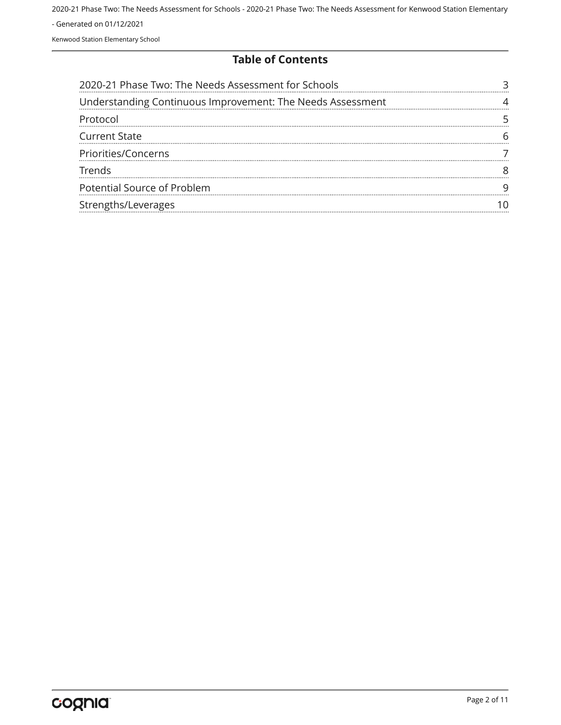#### **Table of Contents**

| 2020-21 Phase Two: The Needs Assessment for Schools        |  |
|------------------------------------------------------------|--|
| Understanding Continuous Improvement: The Needs Assessment |  |
| Protocol                                                   |  |
| <b>Current State</b>                                       |  |
| Priorities/Concerns                                        |  |
| <b>Trends</b>                                              |  |
| Potential Source of Problem                                |  |
| Strengths/Leverages                                        |  |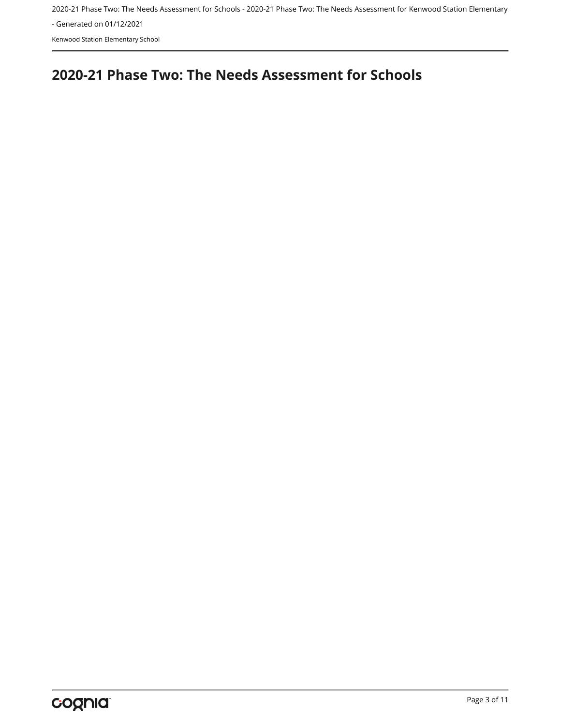2020-21 Phase Two: The Needs Assessment for Schools - 2020-21 Phase Two: The Needs Assessment for Kenwood Station Elementary

- Generated on 01/12/2021

Kenwood Station Elementary School

## <span id="page-2-0"></span>**2020-21 Phase Two: The Needs Assessment for Schools**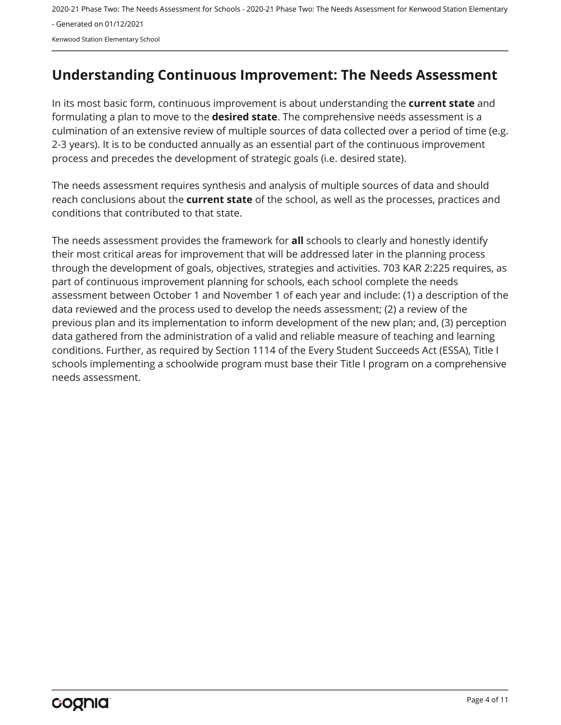## <span id="page-3-0"></span>**Understanding Continuous Improvement: The Needs Assessment**

In its most basic form, continuous improvement is about understanding the **current state** and formulating a plan to move to the **desired state**. The comprehensive needs assessment is a culmination of an extensive review of multiple sources of data collected over a period of time (e.g. 2-3 years). It is to be conducted annually as an essential part of the continuous improvement process and precedes the development of strategic goals (i.e. desired state).

The needs assessment requires synthesis and analysis of multiple sources of data and should reach conclusions about the **current state** of the school, as well as the processes, practices and conditions that contributed to that state.

The needs assessment provides the framework for **all** schools to clearly and honestly identify their most critical areas for improvement that will be addressed later in the planning process through the development of goals, objectives, strategies and activities. 703 KAR 2:225 requires, as part of continuous improvement planning for schools, each school complete the needs assessment between October 1 and November 1 of each year and include: (1) a description of the data reviewed and the process used to develop the needs assessment; (2) a review of the previous plan and its implementation to inform development of the new plan; and, (3) perception data gathered from the administration of a valid and reliable measure of teaching and learning conditions. Further, as required by Section 1114 of the Every Student Succeeds Act (ESSA), Title I schools implementing a schoolwide program must base their Title I program on a comprehensive needs assessment.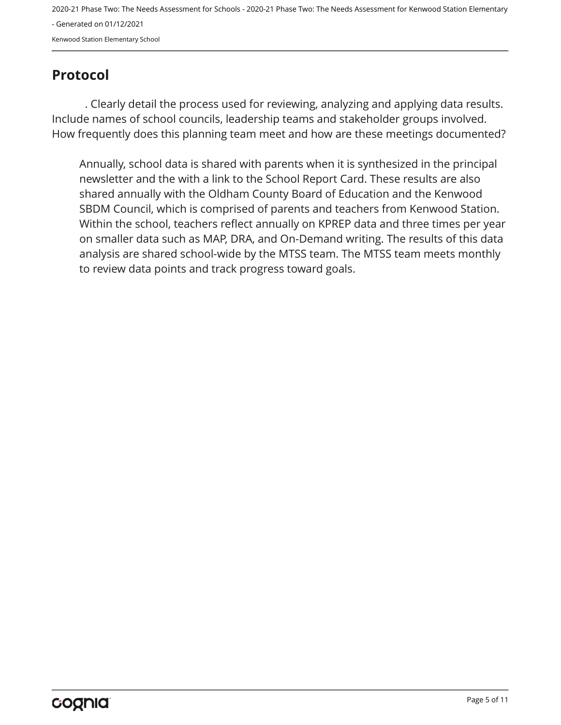2020-21 Phase Two: The Needs Assessment for Schools - 2020-21 Phase Two: The Needs Assessment for Kenwood Station Elementary - Generated on 01/12/2021

Kenwood Station Elementary School

## <span id="page-4-0"></span>**Protocol**

. Clearly detail the process used for reviewing, analyzing and applying data results. Include names of school councils, leadership teams and stakeholder groups involved. How frequently does this planning team meet and how are these meetings documented?

Annually, school data is shared with parents when it is synthesized in the principal newsletter and the with a link to the School Report Card. These results are also shared annually with the Oldham County Board of Education and the Kenwood SBDM Council, which is comprised of parents and teachers from Kenwood Station. Within the school, teachers reflect annually on KPREP data and three times per year on smaller data such as MAP, DRA, and On-Demand writing. The results of this data analysis are shared school-wide by the MTSS team. The MTSS team meets monthly to review data points and track progress toward goals.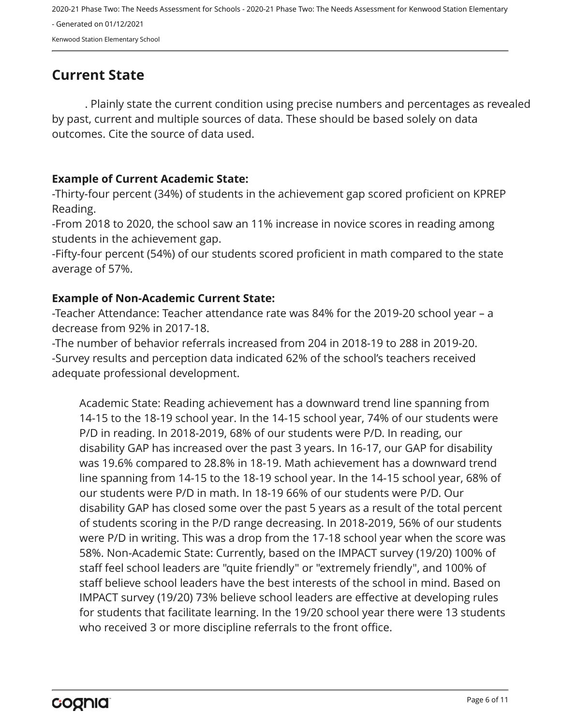2020-21 Phase Two: The Needs Assessment for Schools - 2020-21 Phase Two: The Needs Assessment for Kenwood Station Elementary - Generated on 01/12/2021

Kenwood Station Elementary School

## <span id="page-5-0"></span>**Current State**

. Plainly state the current condition using precise numbers and percentages as revealed by past, current and multiple sources of data. These should be based solely on data outcomes. Cite the source of data used.

#### **Example of Current Academic State:**

-Thirty-four percent (34%) of students in the achievement gap scored proficient on KPREP Reading.

-From 2018 to 2020, the school saw an 11% increase in novice scores in reading among students in the achievement gap.

-Fifty-four percent (54%) of our students scored proficient in math compared to the state average of 57%.

#### **Example of Non-Academic Current State:**

-Teacher Attendance: Teacher attendance rate was 84% for the 2019-20 school year – a decrease from 92% in 2017-18.

-The number of behavior referrals increased from 204 in 2018-19 to 288 in 2019-20. -Survey results and perception data indicated 62% of the school's teachers received adequate professional development.

Academic State: Reading achievement has a downward trend line spanning from 14-15 to the 18-19 school year. In the 14-15 school year, 74% of our students were P/D in reading. In 2018-2019, 68% of our students were P/D. In reading, our disability GAP has increased over the past 3 years. In 16-17, our GAP for disability was 19.6% compared to 28.8% in 18-19. Math achievement has a downward trend line spanning from 14-15 to the 18-19 school year. In the 14-15 school year, 68% of our students were P/D in math. In 18-19 66% of our students were P/D. Our disability GAP has closed some over the past 5 years as a result of the total percent of students scoring in the P/D range decreasing. In 2018-2019, 56% of our students were P/D in writing. This was a drop from the 17-18 school year when the score was 58%. Non-Academic State: Currently, based on the IMPACT survey (19/20) 100% of staff feel school leaders are "quite friendly" or "extremely friendly", and 100% of staff believe school leaders have the best interests of the school in mind. Based on IMPACT survey (19/20) 73% believe school leaders are effective at developing rules for students that facilitate learning. In the 19/20 school year there were 13 students who received 3 or more discipline referrals to the front office.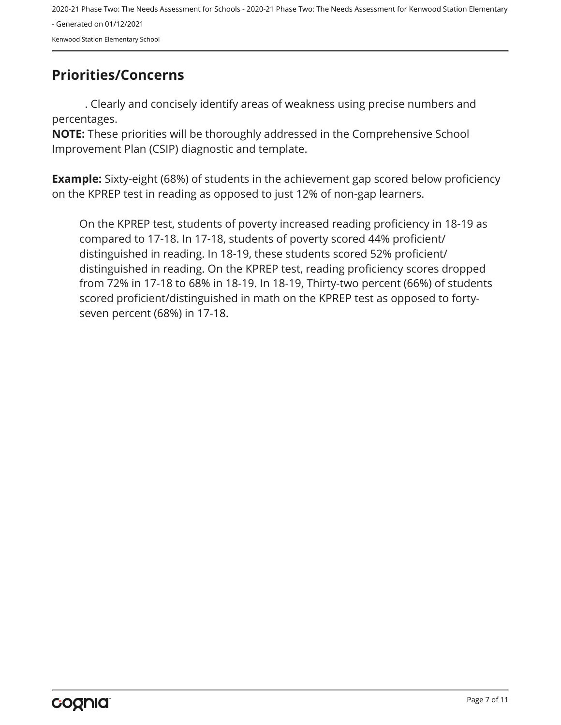## <span id="page-6-0"></span>**Priorities/Concerns**

. Clearly and concisely identify areas of weakness using precise numbers and percentages.

**NOTE:** These priorities will be thoroughly addressed in the Comprehensive School Improvement Plan (CSIP) diagnostic and template.

**Example:** Sixty-eight (68%) of students in the achievement gap scored below proficiency on the KPREP test in reading as opposed to just 12% of non-gap learners.

On the KPREP test, students of poverty increased reading proficiency in 18-19 as compared to 17-18. In 17-18, students of poverty scored 44% proficient/ distinguished in reading. In 18-19, these students scored 52% proficient/ distinguished in reading. On the KPREP test, reading proficiency scores dropped from 72% in 17-18 to 68% in 18-19. In 18-19, Thirty-two percent (66%) of students scored proficient/distinguished in math on the KPREP test as opposed to fortyseven percent (68%) in 17-18.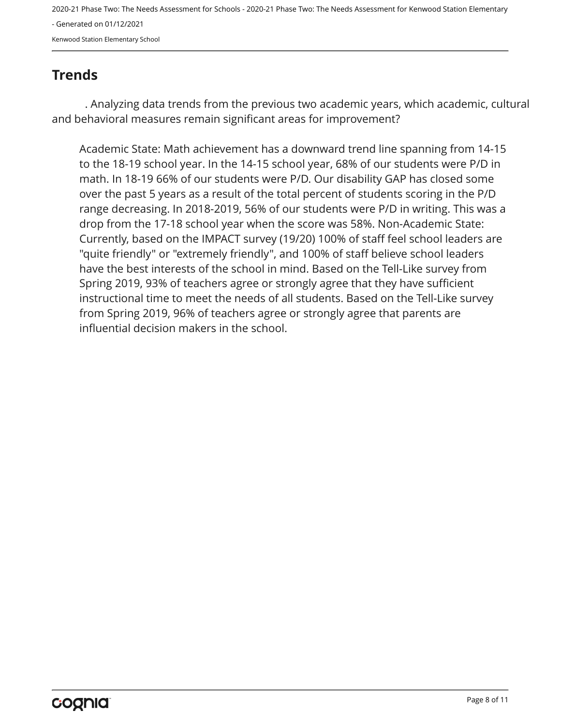2020-21 Phase Two: The Needs Assessment for Schools - 2020-21 Phase Two: The Needs Assessment for Kenwood Station Elementary

- Generated on 01/12/2021

Kenwood Station Elementary School

## <span id="page-7-0"></span>**Trends**

. Analyzing data trends from the previous two academic years, which academic, cultural and behavioral measures remain significant areas for improvement?

Academic State: Math achievement has a downward trend line spanning from 14-15 to the 18-19 school year. In the 14-15 school year, 68% of our students were P/D in math. In 18-19 66% of our students were P/D. Our disability GAP has closed some over the past 5 years as a result of the total percent of students scoring in the P/D range decreasing. In 2018-2019, 56% of our students were P/D in writing. This was a drop from the 17-18 school year when the score was 58%. Non-Academic State: Currently, based on the IMPACT survey (19/20) 100% of staff feel school leaders are "quite friendly" or "extremely friendly", and 100% of staff believe school leaders have the best interests of the school in mind. Based on the Tell-Like survey from Spring 2019, 93% of teachers agree or strongly agree that they have sufficient instructional time to meet the needs of all students. Based on the Tell-Like survey from Spring 2019, 96% of teachers agree or strongly agree that parents are influential decision makers in the school.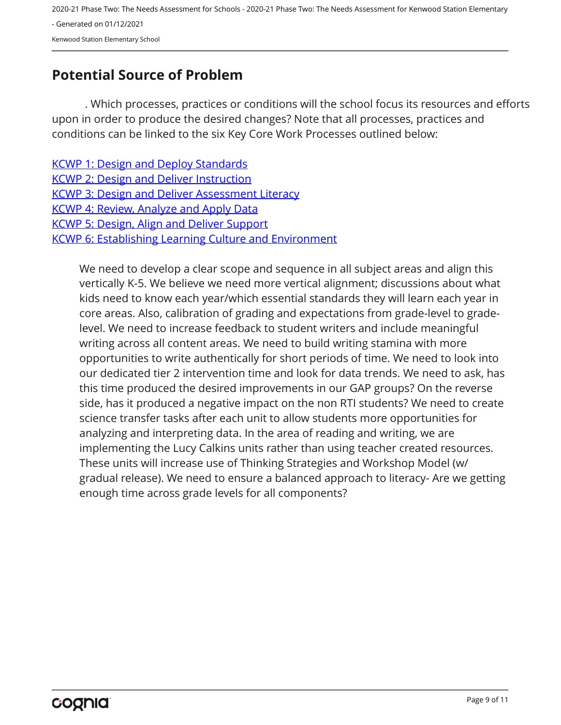## <span id="page-8-0"></span>**Potential Source of Problem**

. Which processes, practices or conditions will the school focus its resources and efforts upon in order to produce the desired changes? Note that all processes, practices and conditions can be linked to the six Key Core Work Processes outlined below:

| <b>KCWP 1: Design and Deploy Standards</b>                   |
|--------------------------------------------------------------|
| <b>KCWP 2: Design and Deliver Instruction</b>                |
| <b>KCWP 3: Design and Deliver Assessment Literacy</b>        |
| <b>KCWP 4: Review, Analyze and Apply Data</b>                |
| <b>KCWP 5: Design, Align and Deliver Support</b>             |
| <b>KCWP 6: Establishing Learning Culture and Environment</b> |
|                                                              |

We need to develop a clear scope and sequence in all subject areas and align this vertically K-5. We believe we need more vertical alignment; discussions about what kids need to know each year/which essential standards they will learn each year in core areas. Also, calibration of grading and expectations from grade-level to gradelevel. We need to increase feedback to student writers and include meaningful writing across all content areas. We need to build writing stamina with more opportunities to write authentically for short periods of time. We need to look into our dedicated tier 2 intervention time and look for data trends. We need to ask, has this time produced the desired improvements in our GAP groups? On the reverse side, has it produced a negative impact on the non RTI students? We need to create science transfer tasks after each unit to allow students more opportunities for analyzing and interpreting data. In the area of reading and writing, we are implementing the Lucy Calkins units rather than using teacher created resources. These units will increase use of Thinking Strategies and Workshop Model (w/ gradual release). We need to ensure a balanced approach to literacy- Are we getting enough time across grade levels for all components?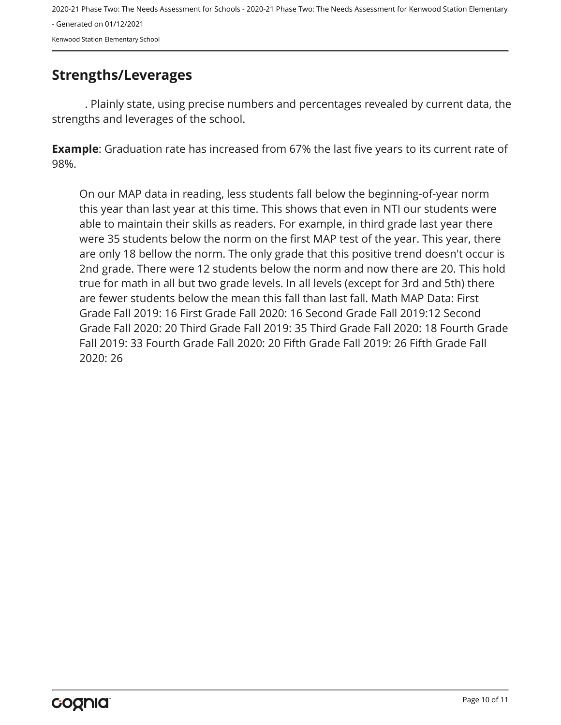## <span id="page-9-0"></span>**Strengths/Leverages**

. Plainly state, using precise numbers and percentages revealed by current data, the strengths and leverages of the school.

**Example**: Graduation rate has increased from 67% the last five years to its current rate of 98%.

On our MAP data in reading, less students fall below the beginning-of-year norm this year than last year at this time. This shows that even in NTI our students were able to maintain their skills as readers. For example, in third grade last year there were 35 students below the norm on the first MAP test of the year. This year, there are only 18 bellow the norm. The only grade that this positive trend doesn't occur is 2nd grade. There were 12 students below the norm and now there are 20. This hold true for math in all but two grade levels. In all levels (except for 3rd and 5th) there are fewer students below the mean this fall than last fall. Math MAP Data: First Grade Fall 2019: 16 First Grade Fall 2020: 16 Second Grade Fall 2019:12 Second Grade Fall 2020: 20 Third Grade Fall 2019: 35 Third Grade Fall 2020: 18 Fourth Grade Fall 2019: 33 Fourth Grade Fall 2020: 20 Fifth Grade Fall 2019: 26 Fifth Grade Fall 2020: 26